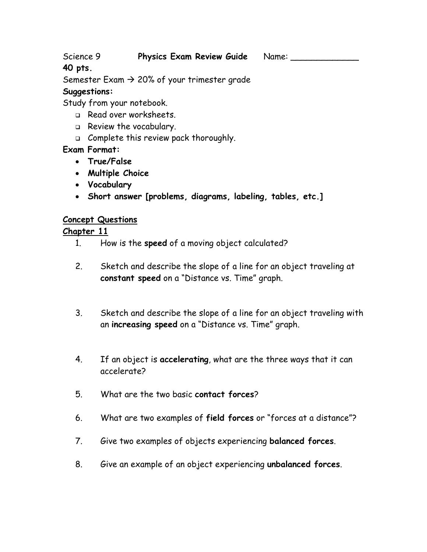Science 9 **Physics Exam Review Guide** Name:

# **40 pts.**

Semester Exam  $\rightarrow$  20% of your trimester grade

### **Suggestions:**

Study from your notebook.

- Read over worksheets.
- Review the vocabulary.
- □ Complete this review pack thoroughly.

## **Exam Format:**

- **True/False**
- **Multiple Choice**
- **Vocabulary**
- **Short answer [problems, diagrams, labeling, tables, etc.]**

## **Concept Questions**

### **Chapter 11**

- 1. How is the **speed** of a moving object calculated?
- 2. Sketch and describe the slope of a line for an object traveling at **constant speed** on a "Distance vs. Time" graph.
- 3. Sketch and describe the slope of a line for an object traveling with an **increasing speed** on a "Distance vs. Time" graph.
- 4. If an object is **accelerating**, what are the three ways that it can accelerate?
- 5. What are the two basic **contact forces**?
- 6. What are two examples of **field forces** or "forces at a distance"?
- 7. Give two examples of objects experiencing **balanced forces**.
- 8. Give an example of an object experiencing **unbalanced forces**.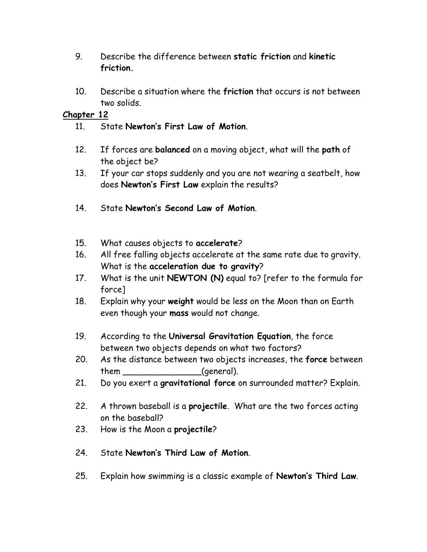- 9. Describe the difference between **static friction** and **kinetic friction.**
- 10. Describe a situation where the **friction** that occurs is not between two solids.

### **Chapter 12**

- 11. State **Newton's First Law of Motion**.
- 12. If forces are **balanced** on a moving object, what will the **path** of the object be?
- 13. If your car stops suddenly and you are not wearing a seatbelt, how does **Newton's First Law** explain the results?
- 14. State **Newton's Second Law of Motion**.
- 15. What causes objects to **accelerate**?
- 16. All free falling objects accelerate at the same rate due to gravity. What is the **acceleration due to gravity**?
- 17. What is the unit **NEWTON (N)** equal to? [refer to the formula for force]
- 18. Explain why your **weight** would be less on the Moon than on Earth even though your **mass** would not change.
- 19. According to the **Universal Gravitation Equation**, the force between two objects depends on what two factors?
- 20. As the distance between two objects increases, the **force** between them \_\_\_\_\_\_\_\_\_\_\_\_\_\_\_\_\_(general).
- 21. Do you exert a **gravitational force** on surrounded matter? Explain.
- 22. A thrown baseball is a **projectile**. What are the two forces acting on the baseball?
- 23. How is the Moon a **projectile**?
- 24. State **Newton's Third Law of Motion**.
- 25. Explain how swimming is a classic example of **Newton's Third Law**.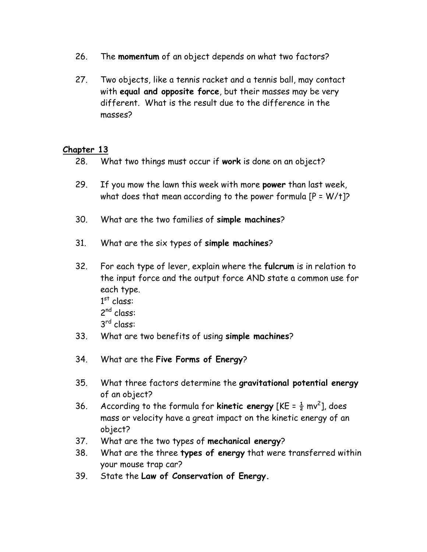- 26. The **momentum** of an object depends on what two factors?
- 27. Two objects, like a tennis racket and a tennis ball, may contact with **equal and opposite force**, but their masses may be very different. What is the result due to the difference in the masses?

### **Chapter 13**

- 28. What two things must occur if **work** is done on an object?
- 29. If you mow the lawn this week with more **power** than last week, what does that mean according to the power formula  $[P = W/t]$ ?
- 30. What are the two families of **simple machines**?
- 31. What are the six types of **simple machines**?
- 32. For each type of lever, explain where the **fulcrum** is in relation to the input force and the output force AND state a common use for each type.  $1<sup>st</sup>$  class: 2<sup>nd</sup> class: 3 rd class:
- 33. What are two benefits of using **simple machines**?
- 34. What are the **Five Forms of Energy**?
- 35. What three factors determine the **gravitational potential energy** of an object?
- 36. According to the formula for **kinetic energy** [KE =  $\frac{1}{2}$  mv<sup>2</sup>], does mass or velocity have a great impact on the kinetic energy of an object?
- 37. What are the two types of **mechanical energy**?
- 38. What are the three **types of energy** that were transferred within your mouse trap car?
- 39. State the **Law of Conservation of Energy.**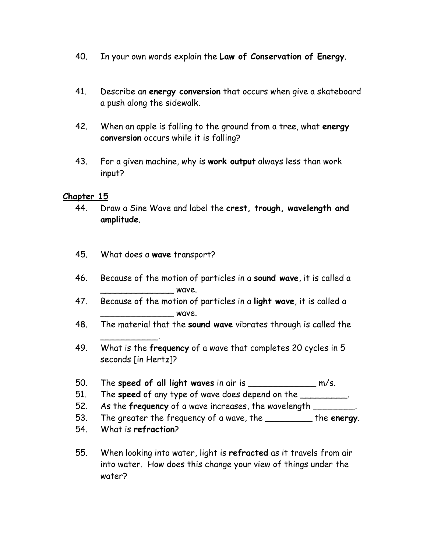- 40. In your own words explain the **Law of Conservation of Energy**.
- 41. Describe an **energy conversion** that occurs when give a skateboard a push along the sidewalk.
- 42. When an apple is falling to the ground from a tree, what **energy conversion** occurs while it is falling?
- 43. For a given machine, why is **work output** always less than work input?

### **Chapter 15**

- 44. Draw a Sine Wave and label the **crest, trough, wavelength and amplitude**.
- 45. What does a **wave** transport?
- 46. Because of the motion of particles in a **sound wave**, it is called a \_\_\_\_\_\_\_\_\_\_\_\_\_\_ wave.
- 47. Because of the motion of particles in a **light wave**, it is called a  $-$  wave.
- 48. The material that the **sound wave** vibrates through is called the
- 49. What is the **frequency** of a wave that completes 20 cycles in 5 seconds [in Hertz]?
- 50. The **speed of all light waves** in air is \_\_\_\_\_\_\_\_\_\_\_\_\_ m/s.
- 51. The **speed** of any type of wave does depend on the \_\_\_\_\_\_\_\_\_.
- 52. As the **frequency** of a wave increases, the wavelength \_\_\_\_\_\_\_\_.
- 53. The greater the frequency of a wave, the \_\_\_\_\_\_\_\_\_ the **energy**.
- 54. What is **refraction**?

\_\_\_\_\_\_\_\_\_\_\_.

55. When looking into water, light is **refracted** as it travels from air into water. How does this change your view of things under the water?